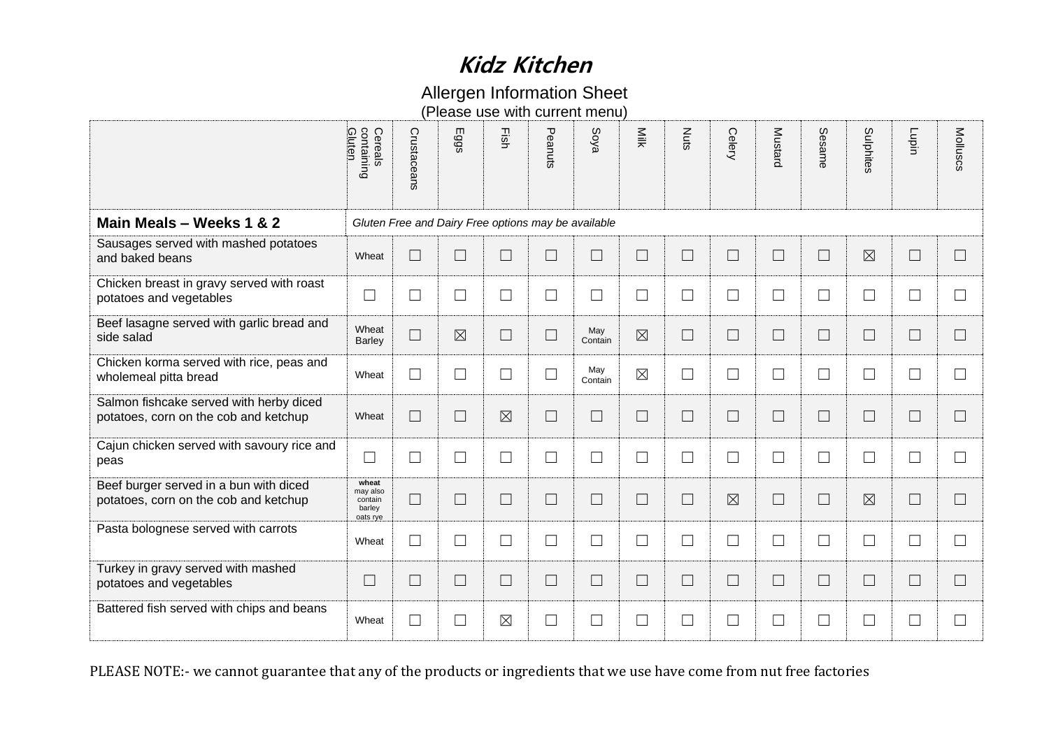### Allergen Information Sheet

|                                                                                                                         | containing<br>Gluten<br>Cereals                    | Crustaceans | Eggs                                                | Fish        | Peanuts | Soya           | Milk        | <b>Nuts</b> | Celery      | <b>Mustard</b> | Sesame | Sulphites   | Lupin             | Molluscs          |
|-------------------------------------------------------------------------------------------------------------------------|----------------------------------------------------|-------------|-----------------------------------------------------|-------------|---------|----------------|-------------|-------------|-------------|----------------|--------|-------------|-------------------|-------------------|
| Main Meals - Weeks 1 & 2                                                                                                |                                                    |             | Gluten Free and Dairy Free options may be available |             |         |                |             |             |             |                |        |             |                   |                   |
| Sausages served with mashed potatoes<br>and baked beans                                                                 | Wheat                                              | $\Box$      | $\Box$                                              | $\Box$      | $\Box$  | $\Box$         | $\Box$      | $\Box$      | $\Box$      | $\Box$         | $\Box$ | $\boxtimes$ | $\Box$            | $\Box$            |
| Chicken breast in gravy served with roast<br>potatoes and vegetables                                                    | $\Box$                                             | $\Box$      | ⊔                                                   | $\Box$      | $\Box$  | $\Box$         | $\Box$      | $\Box$      | $\Box$      | $\Box$         | $\Box$ | ⊔           | $\sqcup$          | $\Box$            |
| Beef lasagne served with garlic bread and<br>side salad                                                                 | Wheat<br><b>Barley</b>                             | $\Box$      | $\boxtimes$                                         | $\Box$      | $\Box$  | May<br>Contain | $\boxtimes$ | $\Box$      | $\Box$      | $\Box$         | $\Box$ | ⊔           | $\Box$            | П                 |
| Chicken korma served with rice, peas and<br>wholemeal pitta bread                                                       | Wheat                                              | $\Box$      | ⊔                                                   | $\Box$      | $\Box$  | May<br>Contain | $\boxtimes$ | $\Box$      | $\Box$      | $\Box$         | $\Box$ | $\Box$      | $\vert \ \ \vert$ | $\Box$            |
| Salmon fishcake served with herby diced<br>potatoes, corn on the cob and ketchup                                        | Wheat                                              | $\Box$      | $\vert \ \ \vert$                                   | $\boxtimes$ | $\Box$  | $\Box$         | $\Box$      | $\Box$      | $\Box$      | $\Box$         | $\Box$ | $\Box$      | $\vert \ \ \vert$ | $\vert \ \ \vert$ |
| Cajun chicken served with savoury rice and<br>peas                                                                      | $\Box$                                             | $\Box$      | $\Box$                                              | $\Box$      | $\Box$  | $\Box$         | $\Box$      | $\Box$      | $\Box$      | $\Box$         | $\Box$ | ⊔           | $\Box$            | $\Box$            |
| Beef burger served in a bun with diced<br>potatoes, corn on the cob and ketchup                                         | wheat<br>may also<br>contain<br>barley<br>oats rye | $\Box$      | $\Box$                                              | $\Box$      | $\Box$  | $\Box$         | $\Box$      | $\Box$      | $\boxtimes$ | $\Box$         | $\Box$ | $\boxtimes$ | $\Box$            | П                 |
| Pasta bolognese served with carrots                                                                                     | Wheat                                              | $\Box$      | $\Box$                                              | $\Box$      | $\Box$  | $\Box$         | $\Box$      | $\Box$      | $\Box$      | $\Box$         | $\Box$ | $\Box$      | $\Box$            | П                 |
| Turkey in gravy served with mashed<br>potatoes and vegetables                                                           | $\Box$                                             | $\Box$      | $\Box$                                              | $\Box$      | $\Box$  | $\Box$         | $\Box$      | $\Box$      | $\Box$      | $\Box$         | $\Box$ | $\Box$      | $\sqcup$          | $\Box$            |
| Battered fish served with chips and beans                                                                               | Wheat                                              | $\Box$      | $\Box$                                              | $\boxtimes$ | $\Box$  | $\Box$         | $\Box$      | $\Box$      | $\Box$      | $\Box$         | $\Box$ | $\Box$      | $\Box$            | ⊔                 |
| PLEASE NOTE:- we cannot guarantee that any of the products or ingredients that we use have come from nut free factories |                                                    |             |                                                     |             |         |                |             |             |             |                |        |             |                   |                   |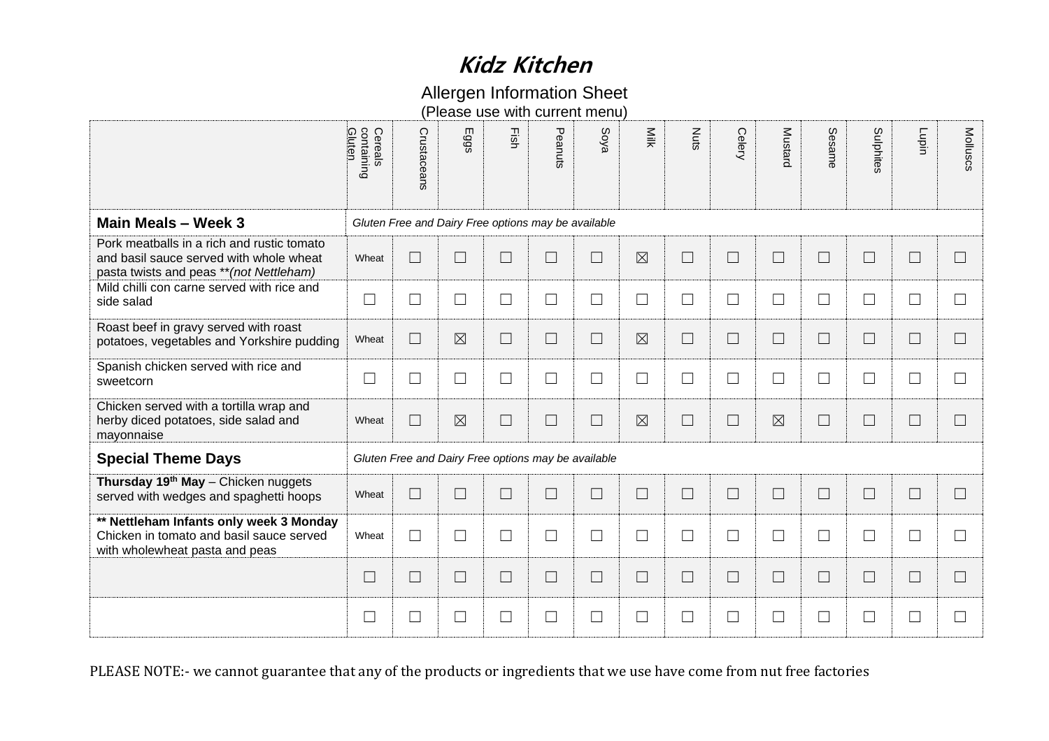### Allergen Information Sheet

|                                                                                                                                   | Gluten<br>Cereals<br>containing | Crustaceans       | Eggs                                                | Fish   | Peanuts | Soya                     | Milk        | Nuts   | Celery | Mustard     | Sesame | Sulphites         | Lupin    | Molluscs                 |
|-----------------------------------------------------------------------------------------------------------------------------------|---------------------------------|-------------------|-----------------------------------------------------|--------|---------|--------------------------|-------------|--------|--------|-------------|--------|-------------------|----------|--------------------------|
| Main Meals - Week 3                                                                                                               |                                 |                   | Gluten Free and Dairy Free options may be available |        |         |                          |             |        |        |             |        |                   |          |                          |
| Pork meatballs in a rich and rustic tomato<br>and basil sauce served with whole wheat<br>pasta twists and peas ** (not Nettleham) | Wheat                           | $\Box$            | $\Box$                                              | $\Box$ | $\Box$  | $\Box$                   | $\boxtimes$ | $\Box$ | $\Box$ | $\Box$      | $\Box$ | $\Box$            | $\Box$   | $\Box$                   |
| Mild chilli con carne served with rice and<br>side salad                                                                          | $\Box$                          | $\Box$            | $\Box$                                              | $\Box$ | $\Box$  | $\Box$                   | $\Box$      | $\Box$ | $\Box$ | $\Box$      | $\Box$ | $\Box$            | $\sqcup$ | $\Box$                   |
| Roast beef in gravy served with roast<br>potatoes, vegetables and Yorkshire pudding                                               | Wheat                           | $\Box$            | $\boxtimes$                                         | $\Box$ | $\Box$  | $\Box$                   | $\boxtimes$ | $\Box$ | $\Box$ | $\Box$      | $\Box$ | $\Box$            | ⊔        | $\Box$                   |
| Spanish chicken served with rice and<br>sweetcorn                                                                                 | $\Box$                          | $\Box$            | $\Box$                                              | $\Box$ | $\Box$  | $\Box$                   | $\Box$      | $\Box$ | $\Box$ | $\Box$      | $\Box$ | $\Box$            | $\Box$   | $\Box$                   |
| Chicken served with a tortilla wrap and<br>herby diced potatoes, side salad and<br>mayonnaise                                     | Wheat                           | $\Box$            | $\boxtimes$                                         | $\Box$ | $\Box$  | $\overline{\phantom{0}}$ | $\boxtimes$ | $\Box$ | $\Box$ | $\boxtimes$ | $\Box$ | $\Box$            | $\sqcup$ | $\overline{\phantom{a}}$ |
| <b>Special Theme Days</b>                                                                                                         |                                 |                   | Gluten Free and Dairy Free options may be available |        |         |                          |             |        |        |             |        |                   |          |                          |
| Thursday 19 <sup>th</sup> May - Chicken nuggets<br>served with wedges and spaghetti hoops                                         | Wheat                           | $\Box$            | $\Box$                                              | $\Box$ | $\Box$  | $\Box$                   | $\Box$      | $\Box$ | $\Box$ | $\Box$      | $\Box$ | $\Box$            | $\Box$   | $\Box$                   |
| ** Nettleham Infants only week 3 Monday<br>Chicken in tomato and basil sauce served<br>with wholewheat pasta and peas             | Wheat                           | $\Box$            | $\Box$                                              | $\Box$ | $\Box$  | $\Box$                   | $\Box$      | $\Box$ | $\Box$ | $\Box$      | $\Box$ | $\Box$            | $\Box$   | $\Box$                   |
|                                                                                                                                   | $\Box$                          | $\Box$            | $\Box$                                              | $\Box$ | $\Box$  | $\Box$                   | $\Box$      | $\Box$ | $\Box$ | $\Box$      | $\Box$ | $\Box$            | $\Box$   | $\Box$                   |
|                                                                                                                                   | $\Box$                          | $\vert \ \ \vert$ | $\Box$                                              | $\Box$ | $\Box$  | $\Box$                   | $\Box$      | $\Box$ | $\Box$ | $\Box$      | $\Box$ | $\vert \ \ \vert$ | $\sqcup$ | $\Box$                   |
| PLEASE NOTE:- we cannot guarantee that any of the products or ingredients that we use have come from nut free factories           |                                 |                   |                                                     |        |         |                          |             |        |        |             |        |                   |          |                          |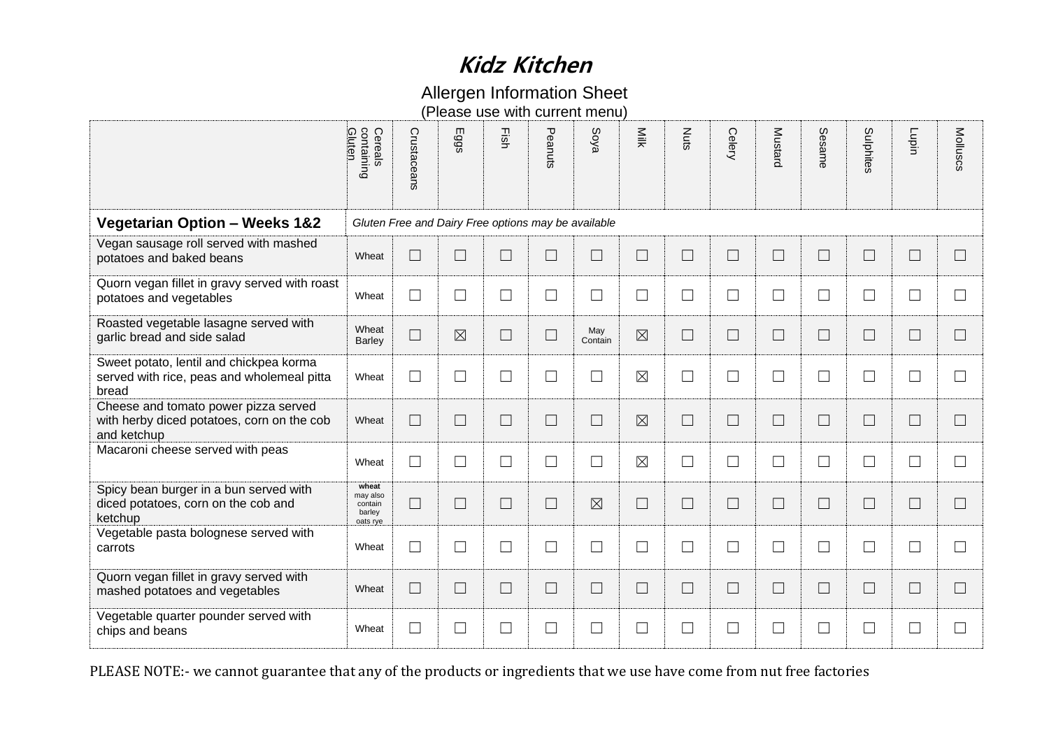### Allergen Information Sheet

|                                                                                                                         | containing<br>Gluten<br>Cereals                    | Crustaceans | Eggs                                                | Fish   | Peanuts | Soya           | Milk        | Nuts   | Celery | Mustard                  | Sesame | Sulphites | Lupin             | Molluscs          |
|-------------------------------------------------------------------------------------------------------------------------|----------------------------------------------------|-------------|-----------------------------------------------------|--------|---------|----------------|-------------|--------|--------|--------------------------|--------|-----------|-------------------|-------------------|
| <b>Vegetarian Option - Weeks 1&amp;2</b>                                                                                |                                                    |             | Gluten Free and Dairy Free options may be available |        |         |                |             |        |        |                          |        |           |                   |                   |
| Vegan sausage roll served with mashed<br>potatoes and baked beans                                                       | Wheat                                              | $\Box$      | $\Box$                                              | $\Box$ | $\Box$  | $\Box$         | $\Box$      | $\Box$ | $\Box$ |                          | $\Box$ | $\Box$    | $\Box$            | $\Box$            |
| Quorn vegan fillet in gravy served with roast<br>potatoes and vegetables                                                | Wheat                                              | $\Box$      | ⊔                                                   | ⊔      | $\Box$  | $\Box$         | $\Box$      | $\Box$ | $\Box$ | $\Box$                   | ⊔      | $\Box$    | $\sqcup$          | $\vert \ \ \vert$ |
| Roasted vegetable lasagne served with<br>garlic bread and side salad                                                    | Wheat<br><b>Barley</b>                             | $\Box$      | $\boxtimes$                                         | $\Box$ | $\Box$  | May<br>Contain | $\boxtimes$ | $\Box$ | $\Box$ | $\Box$                   | $\Box$ | $\Box$    | $\Box$            | $\Box$            |
| Sweet potato, lentil and chickpea korma<br>served with rice, peas and wholemeal pitta<br>bread                          | Wheat                                              | $\Box$      | $\mathcal{L}_{\mathcal{A}}$                         | $\Box$ | $\Box$  | $\Box$         | $\boxtimes$ | $\Box$ | $\Box$ | $\Box$                   | $\Box$ | $\Box$    | $\Box$            | $\Box$            |
| Cheese and tomato power pizza served<br>with herby diced potatoes, corn on the cob<br>and ketchup                       | Wheat                                              | $\Box$      | П                                                   | $\Box$ | $\Box$  | $\Box$         | $\boxtimes$ | $\Box$ | $\Box$ | $\Box$                   | $\Box$ | $\Box$    | П                 | $\Box$            |
| Macaroni cheese served with peas                                                                                        | Wheat                                              | $\Box$      | $\Box$                                              | $\Box$ | $\Box$  | $\Box$         | $\boxtimes$ | $\Box$ | $\Box$ | $\Box$                   | $\Box$ | $\Box$    | $\Box$            | $\Box$            |
| Spicy bean burger in a bun served with<br>diced potatoes, corn on the cob and<br>ketchup                                | wheat<br>may also<br>contain<br>barley<br>oats rye | $\Box$      | $\overline{\phantom{a}}$                            | $\Box$ | $\Box$  | $\boxtimes$    | $\Box$      | $\Box$ | $\Box$ |                          | $\Box$ | $\Box$    | $\Box$            | $\Box$            |
| Vegetable pasta bolognese served with<br>carrots                                                                        | Wheat                                              | $\Box$      | $\Box$                                              | $\Box$ | $\Box$  | $\Box$         | ⊔           | $\Box$ | $\Box$ | $\Box$                   | $\Box$ | $\Box$    | $\vert \ \ \vert$ | $\Box$            |
| Quorn vegan fillet in gravy served with<br>mashed potatoes and vegetables                                               | Wheat                                              | $\Box$      | $\vert \ \ \vert$                                   | ⊔      | $\Box$  | $\Box$         | $\Box$      | $\Box$ | $\Box$ | $\Box$                   | $\Box$ | $\Box$    | $\Box$            | $\vert$ $\vert$   |
| Vegetable quarter pounder served with<br>chips and beans                                                                | Wheat                                              | $\Box$      | $\vert \ \ \vert$                                   | $\Box$ | $\Box$  | $\Box$         | $\Box$      | $\Box$ | $\Box$ | $\overline{\phantom{a}}$ | $\Box$ | $\Box$    | $\Box$            | $\Box$            |
| PLEASE NOTE:- we cannot guarantee that any of the products or ingredients that we use have come from nut free factories |                                                    |             |                                                     |        |         |                |             |        |        |                          |        |           |                   |                   |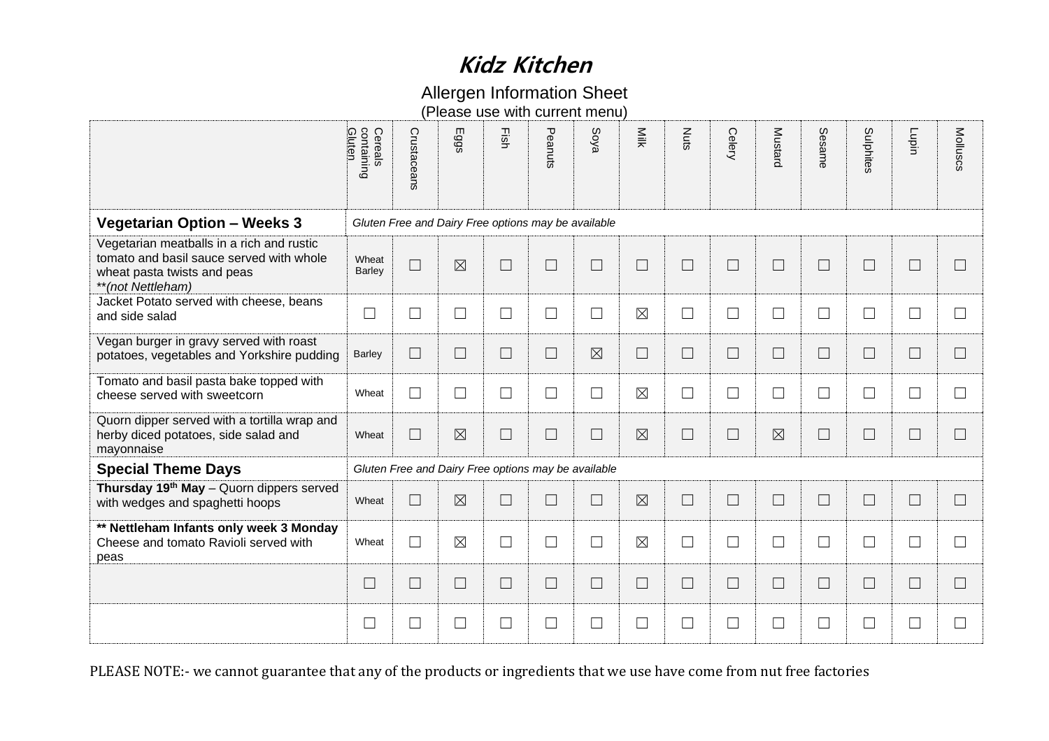### Allergen Information Sheet

|                                                                                                                                           | containing<br>Gluten<br>Cereals                                                                                         | Crustaceans | Eggs                                                | Fish                        | Peanuts | Soya        | Milk        | Nuts   | Celery | Mustard     | Sesame | Sulphites | Lupin                       | Molluscs       |
|-------------------------------------------------------------------------------------------------------------------------------------------|-------------------------------------------------------------------------------------------------------------------------|-------------|-----------------------------------------------------|-----------------------------|---------|-------------|-------------|--------|--------|-------------|--------|-----------|-----------------------------|----------------|
| <b>Vegetarian Option - Weeks 3</b>                                                                                                        |                                                                                                                         |             | Gluten Free and Dairy Free options may be available |                             |         |             |             |        |        |             |        |           |                             |                |
| Vegetarian meatballs in a rich and rustic<br>tomato and basil sauce served with whole<br>wheat pasta twists and peas<br>**(not Nettleham) | Wheat<br><b>Barley</b>                                                                                                  | $\Box$      | $\boxtimes$                                         | $\Box$                      | $\Box$  | $\Box$      | $\Box$      | $\Box$ | $\Box$ | $\Box$      | $\Box$ | $\Box$    | $\overline{\phantom{a}}$    | $\Box$         |
| Jacket Potato served with cheese, beans<br>and side salad                                                                                 | $\Box$                                                                                                                  | $\Box$      | $\Box$                                              | ⊔                           | $\Box$  | $\Box$      | $\boxtimes$ | $\Box$ | $\Box$ | $\Box$      | $\Box$ | $\Box$    | $\Box$                      | $\Box$         |
| Vegan burger in gravy served with roast<br>potatoes, vegetables and Yorkshire pudding                                                     | <b>Barley</b>                                                                                                           | $\Box$      | $\Box$                                              | $\mathcal{L}_{\mathcal{A}}$ | $\Box$  | $\boxtimes$ | $\Box$      | $\Box$ | $\Box$ | $\Box$      | $\Box$ | $\Box$    | $\mathcal{L}_{\mathcal{A}}$ | $\mathbb{R}^n$ |
| Tomato and basil pasta bake topped with<br>cheese served with sweetcorn                                                                   | Wheat                                                                                                                   | $\Box$      | ⊔                                                   | ⊔                           | $\Box$  | $\Box$      | $\boxtimes$ | $\Box$ | $\Box$ | $\Box$      | $\Box$ | $\Box$    | $\sqcup$                    | $\Box$         |
| Quorn dipper served with a tortilla wrap and<br>herby diced potatoes, side salad and<br>mayonnaise                                        | Wheat                                                                                                                   | $\Box$      | $\boxtimes$                                         | $\Box$                      | $\Box$  | $\Box$      | $\boxtimes$ | $\Box$ | $\Box$ | $\boxtimes$ | $\Box$ | $\Box$    | $\overline{\phantom{a}}$    | $\Box$         |
| <b>Special Theme Days</b>                                                                                                                 |                                                                                                                         |             | Gluten Free and Dairy Free options may be available |                             |         |             |             |        |        |             |        |           |                             |                |
| Thursday 19 <sup>th</sup> May - Quorn dippers served<br>with wedges and spaghetti hoops                                                   | Wheat                                                                                                                   | $\Box$      | $\boxtimes$                                         | $\overline{\phantom{a}}$    | $\Box$  | $\Box$      | $\boxtimes$ | $\Box$ | $\Box$ | $\Box$      | $\Box$ | $\Box$    | $\Box$                      | $\mathbf{L}$   |
| ** Nettleham Infants only week 3 Monday<br>Cheese and tomato Ravioli served with<br>peas                                                  | Wheat                                                                                                                   | $\Box$      | $\boxtimes$                                         | ⊔                           | $\Box$  | $\Box$      | $\boxtimes$ | $\Box$ | $\Box$ | $\Box$      | $\Box$ | $\Box$    | $\mathcal{L}_{\mathcal{A}}$ | $\mathbf{L}$   |
|                                                                                                                                           | $\Box$                                                                                                                  | $\Box$      | $\Box$                                              | $\Box$                      | $\Box$  | $\Box$      | $\Box$      | $\Box$ | $\Box$ | $\Box$      | $\Box$ | $\Box$    | $\Box$                      | $\Box$         |
|                                                                                                                                           | $\Box$                                                                                                                  | $\Box$      | $\Box$                                              | $\Box$                      | $\Box$  | $\Box$      | $\Box$      | $\Box$ | $\Box$ | $\Box$      | $\Box$ | $\Box$    | $\overline{\phantom{a}}$    | $\Box$         |
|                                                                                                                                           | PLEASE NOTE:- we cannot guarantee that any of the products or ingredients that we use have come from nut free factories |             |                                                     |                             |         |             |             |        |        |             |        |           |                             |                |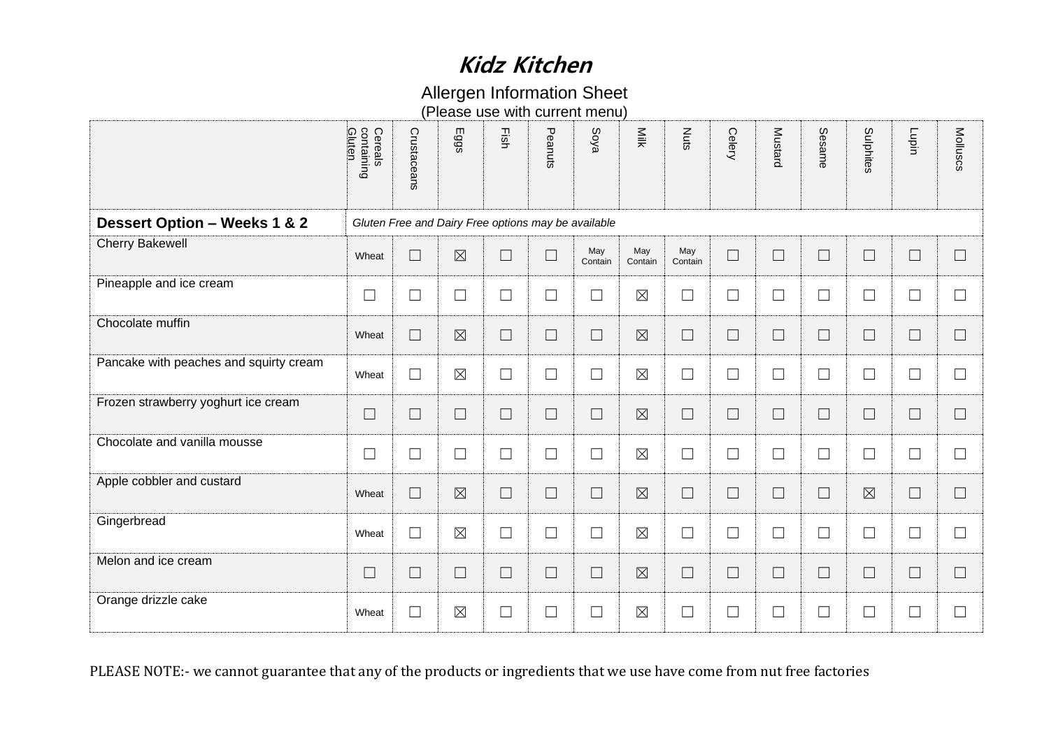### Allergen Information Sheet

|                                                                                                                         | Cereals<br>containing<br>Gluten | Crustaceans       | Eggs        | Eish                                                | Peanuts | Soya           | Milk           | <b>Nuts</b>    | Celery | Mustard                  | Sesame | Sulphites   | Lupin  | Molluscs |
|-------------------------------------------------------------------------------------------------------------------------|---------------------------------|-------------------|-------------|-----------------------------------------------------|---------|----------------|----------------|----------------|--------|--------------------------|--------|-------------|--------|----------|
| <b>Dessert Option - Weeks 1 &amp; 2</b>                                                                                 |                                 |                   |             | Gluten Free and Dairy Free options may be available |         |                |                |                |        |                          |        |             |        |          |
| <b>Cherry Bakewell</b>                                                                                                  | Wheat                           | $\Box$            | $\boxtimes$ | $\Box$                                              | $\Box$  | May<br>Contain | May<br>Contain | May<br>Contain | $\Box$ | $\Box$                   | $\Box$ | $\Box$      | $\Box$ | $\Box$   |
| Pineapple and ice cream                                                                                                 | $\Box$                          | $\Box$            | $\Box$      | $\Box$                                              | $\Box$  | $\Box$         | $\boxtimes$    | $\Box$         | $\Box$ | $\Box$                   | $\Box$ | $\Box$      | $\Box$ | $\Box$   |
| Chocolate muffin                                                                                                        | Wheat                           | $\vert \ \ \vert$ | $\boxtimes$ | $\Box$                                              | $\Box$  | $\Box$         | $\boxtimes$    | $\Box$         | $\Box$ | $\Box$                   | $\Box$ | $\Box$      | $\Box$ | $\Box$   |
| Pancake with peaches and squirty cream                                                                                  | Wheat                           | $\Box$            | $\boxtimes$ | $\Box$                                              | $\Box$  | $\Box$         | $\boxtimes$    | $\Box$         | $\Box$ | $\Box$                   | $\Box$ | $\Box$      | $\Box$ | $\Box$   |
| Frozen strawberry yoghurt ice cream                                                                                     | $\Box$                          | $\Box$            | $\Box$      | $\Box$                                              | $\Box$  | $\Box$         | $\boxtimes$    | $\Box$         | $\Box$ | $\Box$                   | $\Box$ | $\Box$      | $\Box$ | $\Box$   |
| Chocolate and vanilla mousse                                                                                            | $\Box$                          | $\Box$            | $\Box$      | $\Box$                                              | $\Box$  | $\Box$         | $\boxtimes$    | $\Box$         | $\Box$ | $\overline{\phantom{a}}$ | $\Box$ | $\Box$      | $\Box$ | П        |
| Apple cobbler and custard                                                                                               | Wheat                           | $\vert \ \ \vert$ | $\boxtimes$ | $\Box$                                              | $\Box$  | $\Box$         | $\boxtimes$    | $\Box$         | $\Box$ | $\Box$                   | $\Box$ | $\boxtimes$ | $\Box$ | $\Box$   |
| Gingerbread                                                                                                             | Wheat                           | $\Box$            | $\boxtimes$ | $\Box$                                              | $\Box$  | $\Box$         | $\boxtimes$    | $\Box$         | $\Box$ | $\Box$                   | $\Box$ | $\Box$      | $\Box$ | $\Box$   |
| Melon and ice cream                                                                                                     | $\Box$                          | $\Box$            | $\Box$      | $\Box$                                              | $\Box$  | $\Box$         | $\boxtimes$    | $\Box$         | $\Box$ | $\Box$                   | $\Box$ | $\Box$      | $\Box$ | $\Box$   |
| Orange drizzle cake                                                                                                     | Wheat                           | $\Box$            | $\boxtimes$ | $\Box$                                              | $\Box$  | $\Box$         | $\boxtimes$    | $\Box$         | $\Box$ |                          | $\Box$ | $\Box$      | $\Box$ | $\Box$   |
| PLEASE NOTE:- we cannot guarantee that any of the products or ingredients that we use have come from nut free factories |                                 |                   |             |                                                     |         |                |                |                |        |                          |        |             |        |          |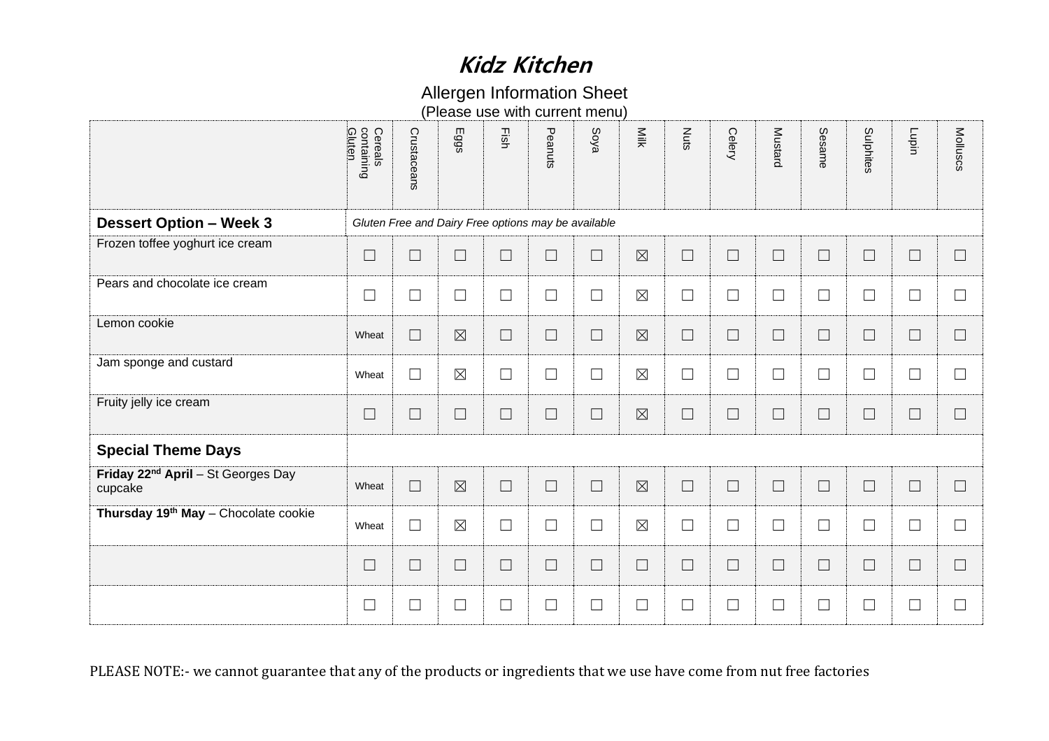### Allergen Information Sheet

|                                                                                                                         | Gluten<br>Cereals<br>containing | Crustaceans | Eggs                     | Fish                                                | Peanuts | Soya   | Milk        | Nuts   | Celery | Mustard | Sesame | Sulphites | Lupin  | Molluscs |
|-------------------------------------------------------------------------------------------------------------------------|---------------------------------|-------------|--------------------------|-----------------------------------------------------|---------|--------|-------------|--------|--------|---------|--------|-----------|--------|----------|
| <b>Dessert Option - Week 3</b>                                                                                          |                                 |             |                          | Gluten Free and Dairy Free options may be available |         |        |             |        |        |         |        |           |        |          |
| Frozen toffee yoghurt ice cream                                                                                         | $\Box$                          | $\Box$      | $\overline{\phantom{a}}$ | $\Box$                                              | $\Box$  | $\Box$ | $\boxtimes$ | $\Box$ | $\Box$ | $\Box$  | $\Box$ | $\Box$    | $\Box$ | $\Box$   |
| Pears and chocolate ice cream                                                                                           | $\Box$                          | $\Box$      | $\Box$                   | $\Box$                                              | $\Box$  | $\Box$ | $\boxtimes$ | $\Box$ | $\Box$ | $\Box$  | $\Box$ | $\Box$    | $\Box$ | $\Box$   |
| Lemon cookie                                                                                                            | Wheat                           | $\Box$      | $\boxtimes$              | $\Box$                                              | $\Box$  | $\Box$ | $\boxtimes$ | $\Box$ | $\Box$ | $\Box$  | $\Box$ | $\Box$    | $\Box$ | $\Box$   |
| Jam sponge and custard                                                                                                  | Wheat                           | $\Box$      | $\boxtimes$              | $\Box$                                              | $\Box$  | $\Box$ | $\boxtimes$ | $\Box$ | $\Box$ | $\Box$  | $\Box$ | $\Box$    | $\Box$ | $\Box$   |
| Fruity jelly ice cream                                                                                                  | $\Box$                          | $\Box$      | $\Box$                   | $\Box$                                              | $\Box$  | $\Box$ | $\boxtimes$ | $\Box$ | $\Box$ | $\Box$  | $\Box$ | $\Box$    | $\Box$ | $\Box$   |
| <b>Special Theme Days</b>                                                                                               |                                 |             |                          |                                                     |         |        |             |        |        |         |        |           |        |          |
| Friday 22 <sup>nd</sup> April - St Georges Day<br>cupcake                                                               | Wheat                           | $\Box$      | $\boxtimes$              | $\Box$                                              | $\Box$  | $\Box$ | $\boxtimes$ | $\Box$ | $\Box$ | $\Box$  | $\Box$ | $\Box$    | $\Box$ | $\Box$   |
| Thursday 19th May - Chocolate cookie                                                                                    | Wheat                           | $\Box$      | $\boxtimes$              | $\Box$                                              | $\Box$  | $\Box$ | $\boxtimes$ | $\Box$ | $\Box$ | $\Box$  | $\Box$ | $\Box$    | $\Box$ | $\Box$   |
|                                                                                                                         | $\Box$                          | $\Box$      | $\Box$                   | $\Box$                                              | $\Box$  | $\Box$ | $\Box$      | $\Box$ | $\Box$ | $\Box$  | $\Box$ | $\Box$    | $\Box$ | $\Box$   |
|                                                                                                                         | $\Box$                          | $\Box$      | ⊔                        | $\Box$                                              | $\Box$  | $\Box$ | $\Box$      | $\Box$ | $\Box$ |         | $\Box$ | $\Box$    | $\Box$ | $\Box$   |
| PLEASE NOTE:- we cannot guarantee that any of the products or ingredients that we use have come from nut free factories |                                 |             |                          |                                                     |         |        |             |        |        |         |        |           |        |          |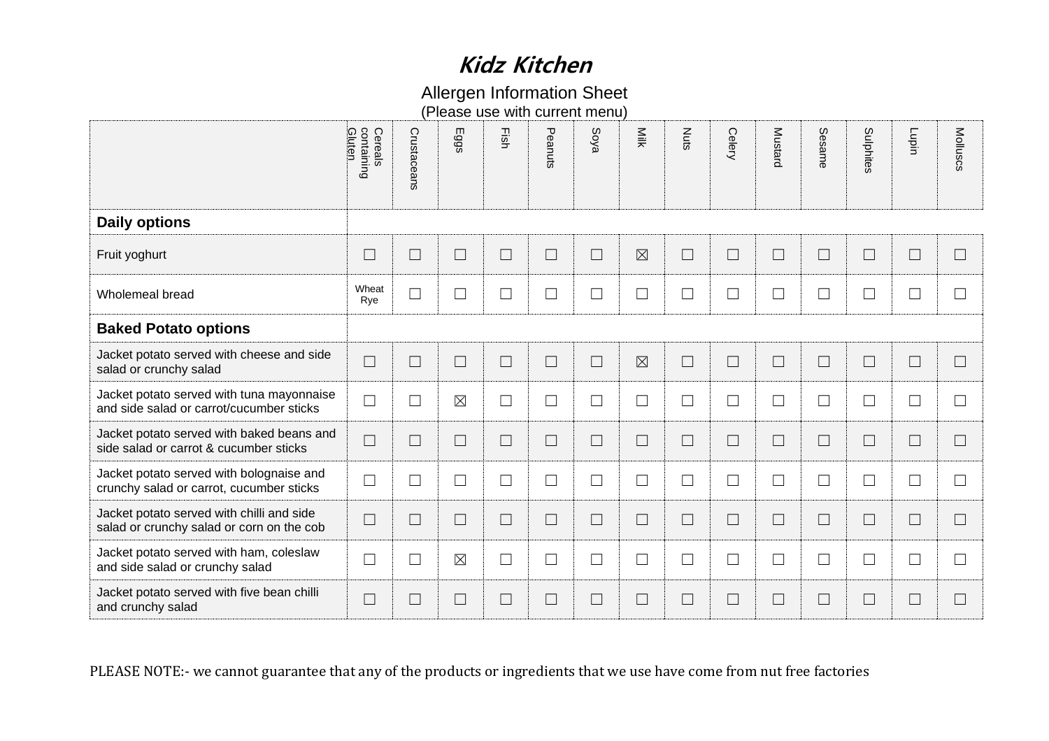### Allergen Information Sheet

|                                                                                                                         | Gluten<br>Cereals<br>containing | Crustaceans | Eggs        | Fish   | Peanuts | Soya   | Milk        | <b>Nuts</b> | Celery | <b>Mustard</b> | Sesame | Sulphites | Lupin                       | Molluscs |
|-------------------------------------------------------------------------------------------------------------------------|---------------------------------|-------------|-------------|--------|---------|--------|-------------|-------------|--------|----------------|--------|-----------|-----------------------------|----------|
| <b>Daily options</b>                                                                                                    |                                 |             |             |        |         |        |             |             |        |                |        |           |                             |          |
| Fruit yoghurt                                                                                                           | $\Box$                          | $\Box$      | $\Box$      | $\Box$ | $\Box$  | $\Box$ | $\boxtimes$ | $\Box$      | $\Box$ | $\Box$         | $\Box$ | $\Box$    | $\Box$                      | $\Box$   |
| Wholemeal bread                                                                                                         | Wheat<br>Rye                    | $\Box$      | $\Box$      | $\Box$ | $\Box$  | $\Box$ | $\Box$      | $\Box$      | $\Box$ | $\Box$         | $\Box$ | $\Box$    | $\Box$                      | $\Box$   |
| <b>Baked Potato options</b>                                                                                             |                                 |             |             |        |         |        |             |             |        |                |        |           |                             |          |
| Jacket potato served with cheese and side<br>salad or crunchy salad                                                     | $\Box$                          | $\Box$      | $\Box$      | $\Box$ | $\Box$  | $\Box$ | $\boxtimes$ | $\Box$      | $\Box$ | $\Box$         | $\Box$ | $\Box$    | $\mathcal{L}_{\mathcal{A}}$ | $\Box$   |
| Jacket potato served with tuna mayonnaise<br>and side salad or carrot/cucumber sticks                                   | $\Box$                          | $\Box$      | $\boxtimes$ | $\Box$ | $\Box$  | $\Box$ | $\Box$      | $\Box$      | $\Box$ | $\Box$         | $\Box$ | $\Box$    | $\Box$                      | $\Box$   |
| Jacket potato served with baked beans and<br>side salad or carrot & cucumber sticks                                     | $\Box$                          | $\sqcup$    | $\sqcup$    | $\Box$ | $\Box$  | $\Box$ | $\Box$      | $\Box$      | $\Box$ | $\Box$         | $\Box$ | $\Box$    | $\blacksquare$              | $\Box$   |
| Jacket potato served with bolognaise and<br>crunchy salad or carrot, cucumber sticks                                    | $\Box$                          | $\Box$      | $\Box$      | $\Box$ | $\Box$  | $\Box$ | $\Box$      | $\Box$      | $\Box$ | $\Box$         | $\Box$ | $\Box$    | $\Box$                      | $\Box$   |
| Jacket potato served with chilli and side<br>salad or crunchy salad or corn on the cob                                  | $\Box$                          | $\Box$      | $\Box$      | $\Box$ | $\Box$  | $\Box$ | $\Box$      | $\Box$      | $\Box$ | $\Box$         | $\Box$ | $\Box$    | $\Box$                      | $\Box$   |
| Jacket potato served with ham, coleslaw<br>and side salad or crunchy salad                                              | $\Box$                          | $\Box$      | $\boxtimes$ | $\Box$ | $\Box$  | $\Box$ | $\Box$      | $\Box$      | $\Box$ | $\Box$         | $\Box$ | $\Box$    | $\overline{\phantom{a}}$    | $\Box$   |
| Jacket potato served with five bean chilli<br>and crunchy salad                                                         | $\Box$                          | $\sqcup$    | $\Box$      | $\Box$ | $\Box$  | $\Box$ | $\Box$      | $\Box$      | $\Box$ | $\Box$         | $\Box$ | $\Box$    | $\overline{\phantom{a}}$    | $\Box$   |
| PLEASE NOTE:- we cannot guarantee that any of the products or ingredients that we use have come from nut free factories |                                 |             |             |        |         |        |             |             |        |                |        |           |                             |          |